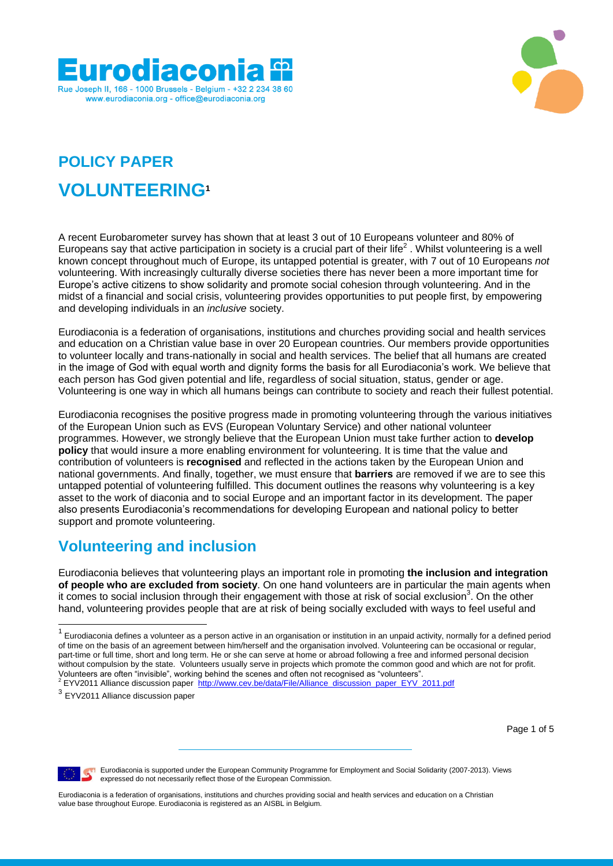



# **POLICY PAPER VOLUNTEERING<sup>1</sup>**

A recent Eurobarometer survey has shown that at least 3 out of 10 Europeans volunteer and 80% of Europeans say that active participation in society is a crucial part of their life<sup>2</sup>. Whilst volunteering is a well known concept throughout much of Europe, its untapped potential is greater, with 7 out of 10 Europeans *not* volunteering. With increasingly culturally diverse societies there has never been a more important time for Europe"s active citizens to show solidarity and promote social cohesion through volunteering. And in the midst of a financial and social crisis, volunteering provides opportunities to put people first, by empowering and developing individuals in an *inclusive* society.

Eurodiaconia is a federation of organisations, institutions and churches providing social and health services and education on a Christian value base in over 20 European countries. Our members provide opportunities to volunteer locally and trans-nationally in social and health services. The belief that all humans are created in the image of God with equal worth and dignity forms the basis for all Eurodiaconia's work. We believe that each person has God given potential and life, regardless of social situation, status, gender or age. Volunteering is one way in which all humans beings can contribute to society and reach their fullest potential.

Eurodiaconia recognises the positive progress made in promoting volunteering through the various initiatives of the European Union such as EVS (European Voluntary Service) and other national volunteer programmes. However, we strongly believe that the European Union must take further action to **develop policy** that would insure a more enabling environment for volunteering. It is time that the value and contribution of volunteers is **recognised** and reflected in the actions taken by the European Union and national governments. And finally, together, we must ensure that **barriers** are removed if we are to see this untapped potential of volunteering fulfilled. This document outlines the reasons why volunteering is a key asset to the work of diaconia and to social Europe and an important factor in its development. The paper also presents Eurodiaconia"s recommendations for developing European and national policy to better support and promote volunteering.

# **Volunteering and inclusion**

Eurodiaconia believes that volunteering plays an important role in promoting **the inclusion and integration of people who are excluded from society**. On one hand volunteers are in particular the main agents when it comes to social inclusion through their engagement with those at risk of social exclusion<sup>3</sup>. On the other hand, volunteering provides people that are at risk of being socially excluded with ways to feel useful and

Page 1 of 5



**E** Eurodiaconia is supported under the European Community Programme for Employment and Social Solidarity (2007-2013). Views expressed do not necessarily reflect those of the European Commission.

Eurodiaconia is a federation of organisations, institutions and churches providing social and health services and education on a Christian value base throughout Europe. Eurodiaconia is registered as an AISBL in Belgium.

 1 Eurodiaconia defines a volunteer as a person active in an organisation or institution in an unpaid activity, normally for a defined period of time on the basis of an agreement between him/herself and the organisation involved. Volunteering can be occasional or regular, part-time or full time, short and long term. He or she can serve at home or abroad following a free and informed personal decision without compulsion by the state. Volunteers usually serve in projects which promote the common good and which are not for profit. Volunteers are often "invisible", working behind the scenes and often not recognised as "volunteers". <sup>2</sup> EYV2011 Alliance discussion paper [http://www.cev.be/data/File/Alliance\\_discussion\\_paper\\_EYV\\_2011.pdf](http://www.cev.be/data/File/Alliance_discussion_paper_EYV_2011.pdf)

<sup>&</sup>lt;sup>3</sup> EYV2011 Alliance discussion paper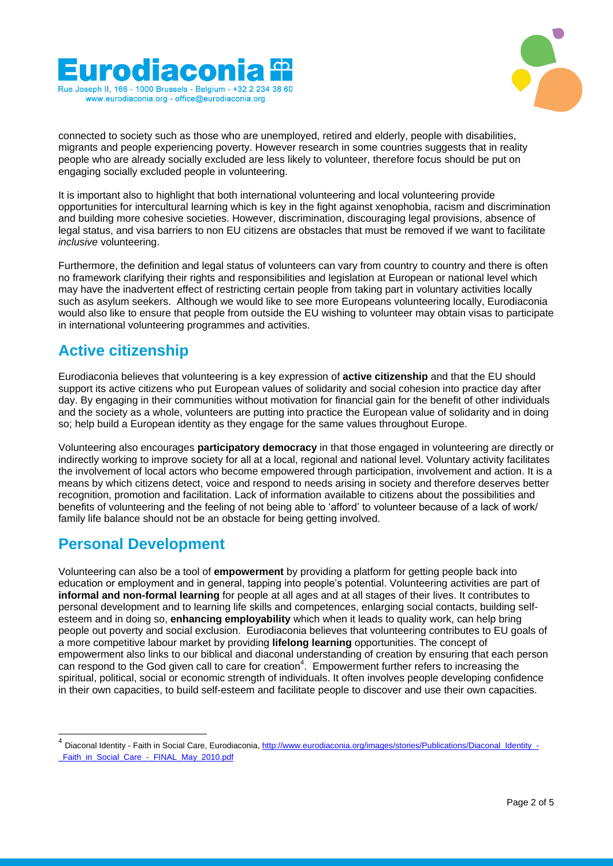



connected to society such as those who are unemployed, retired and elderly, people with disabilities, migrants and people experiencing poverty. However research in some countries suggests that in reality people who are already socially excluded are less likely to volunteer, therefore focus should be put on engaging socially excluded people in volunteering.

It is important also to highlight that both international volunteering and local volunteering provide opportunities for intercultural learning which is key in the fight against xenophobia, racism and discrimination and building more cohesive societies. However, discrimination, discouraging legal provisions, absence of legal status, and visa barriers to non EU citizens are obstacles that must be removed if we want to facilitate *inclusive* volunteering.

Furthermore, the definition and legal status of volunteers can vary from country to country and there is often no framework clarifying their rights and responsibilities and legislation at European or national level which may have the inadvertent effect of restricting certain people from taking part in voluntary activities locally such as asylum seekers. Although we would like to see more Europeans volunteering locally, Eurodiaconia would also like to ensure that people from outside the EU wishing to volunteer may obtain visas to participate in international volunteering programmes and activities.

### **Active citizenship**

Eurodiaconia believes that volunteering is a key expression of **active citizenship** and that the EU should support its active citizens who put European values of solidarity and social cohesion into practice day after day. By engaging in their communities without motivation for financial gain for the benefit of other individuals and the society as a whole, volunteers are putting into practice the European value of solidarity and in doing so; help build a European identity as they engage for the same values throughout Europe.

Volunteering also encourages **participatory democracy** in that those engaged in volunteering are directly or indirectly working to improve society for all at a local, regional and national level. Voluntary activity facilitates the involvement of local actors who become empowered through participation, involvement and action. It is a means by which citizens detect, voice and respond to needs arising in society and therefore deserves better recognition, promotion and facilitation. Lack of information available to citizens about the possibilities and benefits of volunteering and the feeling of not being able to "afford" to volunteer because of a lack of work/ family life balance should not be an obstacle for being getting involved.

#### **Personal Development**

1

Volunteering can also be a tool of **empowerment** by providing a platform for getting people back into education or employment and in general, tapping into people"s potential. Volunteering activities are part of **informal and non-formal learning** for people at all ages and at all stages of their lives. It contributes to personal development and to learning life skills and competences, enlarging social contacts, building selfesteem and in doing so, **enhancing employability** which when it leads to quality work, can help bring people out poverty and social exclusion. Eurodiaconia believes that volunteering contributes to EU goals of a more competitive labour market by providing **lifelong learning** opportunities. The concept of empowerment also links to our biblical and diaconal understanding of creation by ensuring that each person can respond to the God given call to care for creation<sup>4</sup>. Empowerment further refers to increasing the [spiritual,](http://en.wikipedia.org/wiki/Spirituality) [political,](http://en.wikipedia.org/wiki/Politics) [social](http://en.wikipedia.org/wiki/Social) or [economic](http://en.wikipedia.org/wiki/Economics) strength of individuals. It often involves people developin[g confidence](http://en.wikipedia.org/wiki/Confidence) in their own capacities, to build self-esteem and facilitate people to discover and use their own capacities.

<sup>4</sup> Diaconal Identity - Faith in Social Care, Eurodiaconia[, http://www.eurodiaconia.org/images/stories/Publications/Diaconal\\_Identity\\_-](http://www.eurodiaconia.org/images/stories/Publications/Diaconal_Identity_-_Faith_in_Social_Care_-_FINAL_May_2010.pdf) Faith\_in\_Social\_Care\_-\_FINAL\_May\_2010.pdf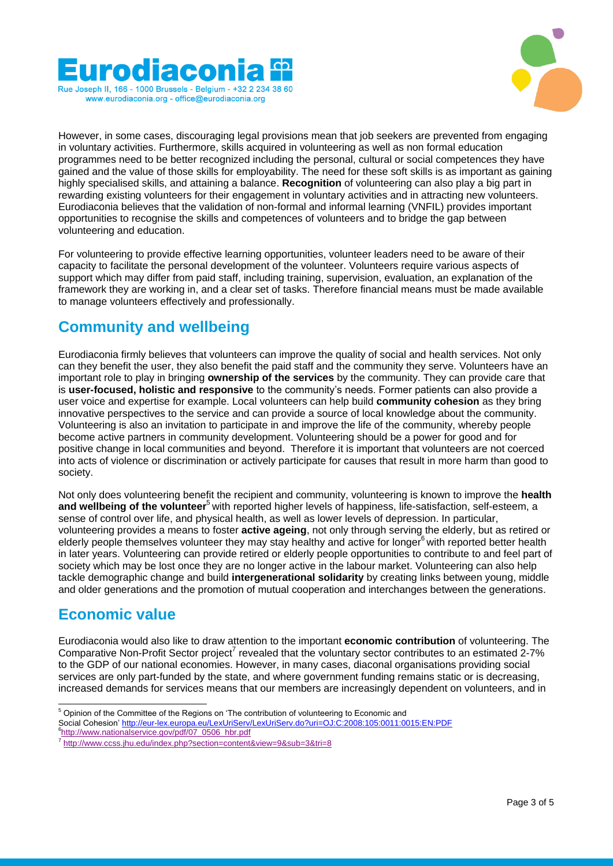



However, in some cases, discouraging legal provisions mean that job seekers are prevented from engaging in voluntary activities. Furthermore, skills acquired in volunteering as well as non formal education programmes need to be better recognized including the personal, cultural or social competences they have gained and the value of those skills for employability. The need for these soft skills is as important as gaining highly specialised skills, and attaining a balance. **Recognition** of volunteering can also play a big part in rewarding existing volunteers for their engagement in voluntary activities and in attracting new volunteers. Eurodiaconia believes that the validation of non-formal and informal learning (VNFIL) provides important opportunities to recognise the skills and competences of volunteers and to bridge the gap between volunteering and education.

For volunteering to provide effective learning opportunities, volunteer leaders need to be aware of their capacity to facilitate the personal development of the volunteer. Volunteers require various aspects of support which may differ from paid staff, including training, supervision, evaluation, an explanation of the framework they are working in, and a clear set of tasks. Therefore financial means must be made available to manage volunteers effectively and professionally.

#### **Community and wellbeing**

Eurodiaconia firmly believes that volunteers can improve the quality of social and health services. Not only can they benefit the user, they also benefit the paid staff and the community they serve. Volunteers have an important role to play in bringing **ownership of the services** by the community. They can provide care that is **user-focused, holistic and responsive** to the community"s needs. Former patients can also provide a user voice and expertise for example. Local volunteers can help build **community cohesion** as they bring innovative perspectives to the service and can provide a source of local knowledge about the community. Volunteering is also an invitation to participate in and improve the life of the community, whereby people become active partners in community development. Volunteering should be a power for good and for positive change in local communities and beyond. Therefore it is important that volunteers are not coerced into acts of violence or discrimination or actively participate for causes that result in more harm than good to society.

Not only does volunteering benefit the recipient and community, volunteering is known to improve the **health and wellbeing of the volunteer**<sup>5</sup> with reported higher levels of happiness, life-satisfaction, self-esteem, a sense of control over life, and physical health, as well as lower levels of depression. In particular, volunteering provides a means to foster **active ageing**, not only through serving the elderly, but as retired or elderly people themselves volunteer they may stay healthy and active for longer<sup>6</sup> with reported better health in later years. Volunteering can provide retired or elderly people opportunities to contribute to and feel part of society which may be lost once they are no longer active in the labour market. Volunteering can also help tackle demographic change and build **intergenerational solidarity** by creating links between young, middle and older generations and the promotion of mutual cooperation and interchanges between the generations.

# **Economic value**

1

Eurodiaconia would also like to draw attention to the important **economic contribution** of volunteering. The Comparative Non-Profit Sector project<sup>7</sup> revealed that the voluntary sector contributes to an estimated  $2-7\%$ to the GDP of our national economies. However, in many cases, diaconal organisations providing social services are only part-funded by the state, and where government funding remains static or is decreasing, increased demands for services means that our members are increasingly dependent on volunteers, and in

 $5$  Opinion of the Committee of the Regions on 'The contribution of volunteering to Economic and

Social Cohesion[" http://eur-lex.europa.eu/LexUriServ/LexUriServ.do?uri=OJ:C:2008:105:0011:0015:EN:PDF](http://eur-lex.europa.eu/LexUriServ/LexUriServ.do?uri=OJ:C:2008:105:0011:0015:EN:PDF) 6 [http://www.nationalservice.gov/pdf/07\\_0506\\_hbr.pdf](http://www.nationalservice.gov/pdf/07_0506_hbr.pdf)

<sup>7</sup> <http://www.ccss.jhu.edu/index.php?section=content&view=9&sub=3&tri=8>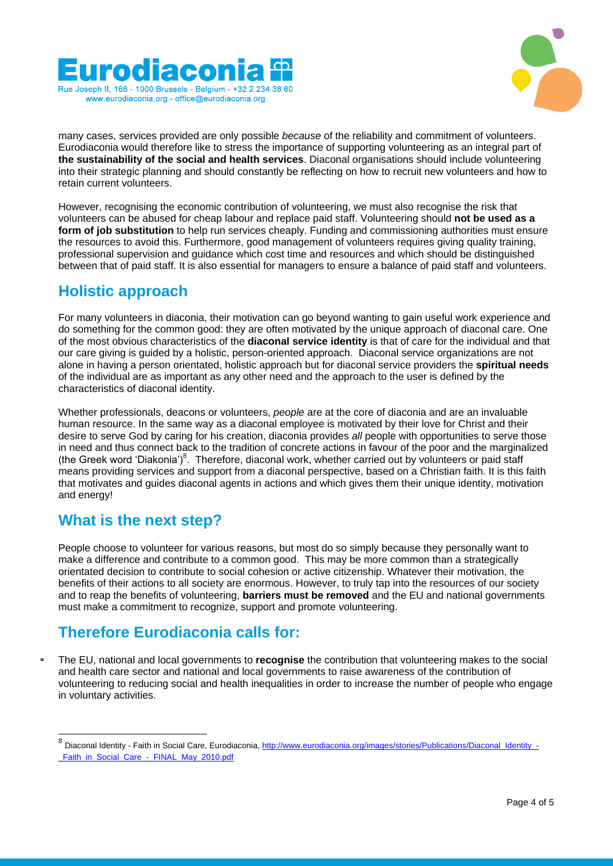



many cases, services provided are only possible *because* of the reliability and commitment of volunteers. Eurodiaconia would therefore like to stress the importance of supporting volunteering as an integral part of **the sustainability of the social and health services**. Diaconal organisations should include volunteering into their strategic planning and should constantly be reflecting on how to recruit new volunteers and how to retain current volunteers.

However, recognising the economic contribution of volunteering, we must also recognise the risk that volunteers can be abused for cheap labour and replace paid staff. Volunteering should **not be used as a form of job substitution** to help run services cheaply. Funding and commissioning authorities must ensure the resources to avoid this. Furthermore, good management of volunteers requires giving quality training, professional supervision and guidance which cost time and resources and which should be distinguished between that of paid staff. It is also essential for managers to ensure a balance of paid staff and volunteers.

#### **Holistic approach**

For many volunteers in diaconia, their motivation can go beyond wanting to gain useful work experience and do something for the common good: they are often motivated by the unique approach of diaconal care. One of the most obvious characteristics of the **diaconal service identity** is that of care for the individual and that our care giving is guided by a holistic, person-oriented approach. Diaconal service organizations are not alone in having a person orientated, holistic approach but for diaconal service providers the **spiritual needs** of the individual are as important as any other need and the approach to the user is defined by the characteristics of diaconal identity.

Whether professionals, deacons or volunteers, *people* are at the core of diaconia and are an invaluable human resource. In the same way as a diaconal employee is motivated by their love for Christ and their desire to serve God by caring for his creation, diaconia provides *all* people with opportunities to serve those in need and thus connect back to the tradition of concrete actions in favour of the poor and the marginalized (the Greek word 'Diakonia')<sup>8</sup>. Therefore, diaconal work, whether carried out by volunteers or paid staff means providing services and support from a diaconal perspective, based on a Christian faith. It is this faith that motivates and guides diaconal agents in actions and which gives them their unique identity, motivation and energy!

#### **What is the next step?**

People choose to volunteer for various reasons, but most do so simply because they personally want to make a difference and contribute to a common good. This may be more common than a strategically orientated decision to contribute to social cohesion or active citizenship. Whatever their motivation, the benefits of their actions to all society are enormous. However, to truly tap into the resources of our society and to reap the benefits of volunteering, **barriers must be removed** and the EU and national governments must make a commitment to recognize, support and promote volunteering.

# **Therefore Eurodiaconia calls for:**

 The EU, national and local governments to **recognise** the contribution that volunteering makes to the social and health care sector and national and local governments to raise awareness of the contribution of volunteering to reducing social and health inequalities in order to increase the number of people who engage in voluntary activities.

 8 Diaconal Identity - Faith in Social Care, Eurodiaconia[, http://www.eurodiaconia.org/images/stories/Publications/Diaconal\\_Identity\\_-](http://www.eurodiaconia.org/images/stories/Publications/Diaconal_Identity_-_Faith_in_Social_Care_-_FINAL_May_2010.pdf) Faith\_in\_Social\_Care\_-\_FINAL\_May\_2010.pdf